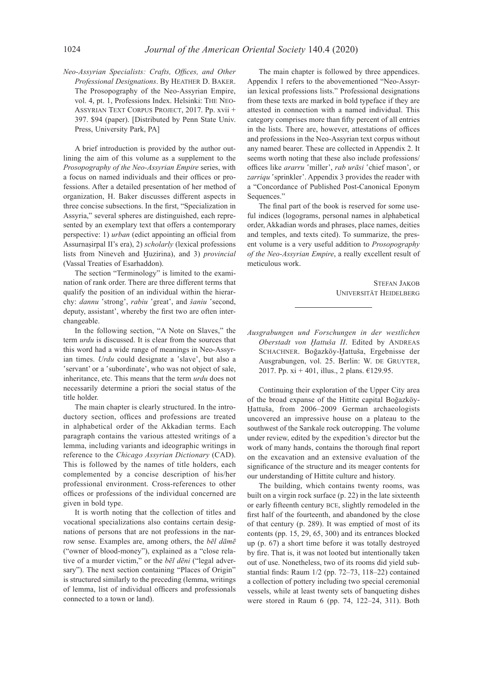*Neo-Assyrian Specialists: Crafts, Offices, and Other Professional Designations*. By Heather D. Baker. The Prosopography of the Neo-Assyrian Empire, vol. 4, pt. 1, Professions Index. Helsinki: The Neo-Assyrian Text Corpus Project, 2017. Pp. xvii + 397. \$94 (paper). [Distributed by Penn State Univ. Press, University Park, PA]

A brief introduction is provided by the author outlining the aim of this volume as a supplement to the *Prosopography of the Neo-Assyrian Empire* series, with a focus on named individuals and their offices or professions. After a detailed presentation of her method of organization, H. Baker discusses different aspects in three concise subsections. In the first, "Specialization in Assyria," several spheres are distinguished, each represented by an exemplary text that offers a contemporary perspective: 1) *urban* (edict appointing an official from Assurnaṣirpal II's era), 2) *scholarly* (lexical professions lists from Nineveh and Ḫuzirina), and 3) *provincial* (Vassal Treaties of Esarhaddon).

The section "Terminology" is limited to the examination of rank order. There are three different terms that qualify the position of an individual within the hierarchy: *dannu* 'strong', *rabiu* 'great', and *šaniu* 'second, deputy, assistant', whereby the first two are often interchangeable.

In the following section, "A Note on Slaves," the term *urdu* is discussed. It is clear from the sources that this word had a wide range of meanings in Neo-Assyrian times. *Urdu* could designate a 'slave', but also a 'servant' or a 'subordinate', who was not object of sale, inheritance, etc. This means that the term *urdu* does not necessarily determine a priori the social status of the title holder.

The main chapter is clearly structured. In the introductory section, offices and professions are treated in alphabetical order of the Akkadian terms. Each paragraph contains the various attested writings of a lemma, including variants and ideographic writings in reference to the *Chicago Assyrian Dictionary* (CAD). This is followed by the names of title holders, each complemented by a concise description of his/her professional environment. Cross-references to other offices or professions of the individual concerned are given in bold type.

It is worth noting that the collection of titles and vocational specializations also contains certain designations of persons that are not professions in the narrow sense. Examples are, among others, the *bēl dāmē* ("owner of blood-money"), explained as a "close relative of a murder victim," or the *bēl dēni* ("legal adversary"). The next section containing "Places of Origin" is structured similarly to the preceding (lemma, writings of lemma, list of individual officers and professionals connected to a town or land).

The main chapter is followed by three appendices. Appendix 1 refers to the abovementioned "Neo-Assyrian lexical professions lists." Professional designations from these texts are marked in bold typeface if they are attested in connection with a named individual. This category comprises more than fifty percent of all entries in the lists. There are, however, attestations of offices and professions in the Neo-Assyrian text corpus without any named bearer. These are collected in Appendix 2. It seems worth noting that these also include professions/ offices like *ararru* 'miller', *rab urāsi* 'chief mason', or *zarriqu* 'sprinkler'. Appendix 3 provides the reader with a "Concordance of Published Post-Canonical Eponym Sequences."

The final part of the book is reserved for some useful indices (logograms, personal names in alphabetical order, Akkadian words and phrases, place names, deities and temples, and texts cited). To summarize, the present volume is a very useful addition to *Prosopography of the Neo-Assyrian Empire*, a really excellent result of meticulous work.

> Stefan Jakob Universität Heidelberg

*Ausgrabungen und Forschungen in der westlichen*  Oberstadt von Hattuša II. Edited by ANDREAS SCHACHNER. Boğazköy-Hattuša, Ergebnisse der Ausgrabungen, vol. 25. Berlin: W. DE GRUYTER, 2017. Pp. xi + 401, illus., 2 plans. €129.95.

Continuing their exploration of the Upper City area of the broad expanse of the Hittite capital Boğazköy-Ḫattuša, from 2006–2009 German archaeologists uncovered an impressive house on a plateau to the southwest of the Sarıkale rock outcropping. The volume under review, edited by the expedition's director but the work of many hands, contains the thorough final report on the excavation and an extensive evaluation of the significance of the structure and its meager contents for our understanding of Hittite culture and history.

The building, which contains twenty rooms, was built on a virgin rock surface (p. 22) in the late sixteenth or early fifteenth century bce, slightly remodeled in the first half of the fourteenth, and abandoned by the close of that century (p. 289). It was emptied of most of its contents (pp. 15, 29, 65, 300) and its entrances blocked up (p. 67) a short time before it was totally destroyed by fire. That is, it was not looted but intentionally taken out of use. Nonetheless, two of its rooms did yield substantial finds: Raum 1/2 (pp. 72–73, 118–22) contained a collection of pottery including two special ceremonial vessels, while at least twenty sets of banqueting dishes were stored in Raum 6 (pp. 74, 122–24, 311). Both